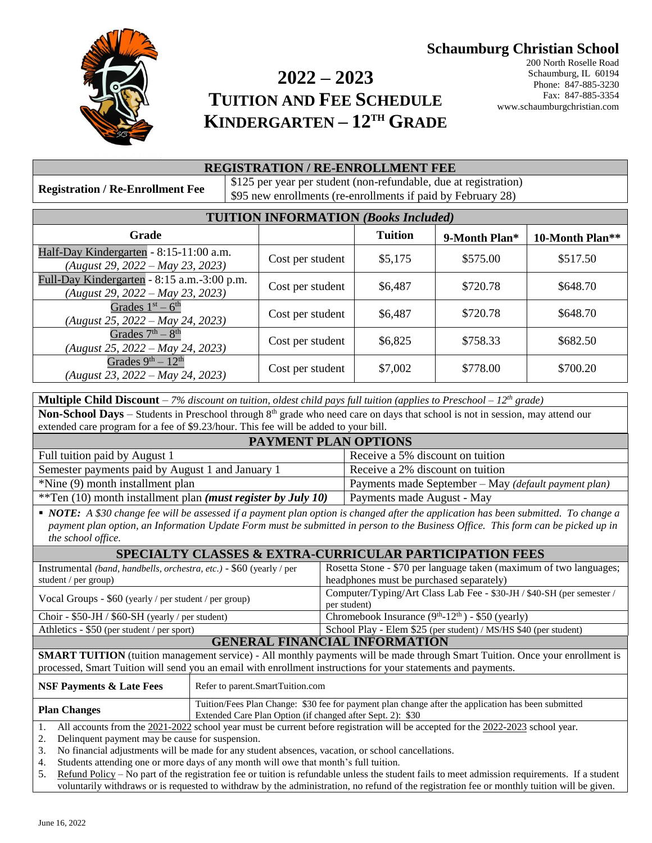# **Schaumburg Christian School**



# **2022 – 2023 TUITION AND FEE SCHEDULE KINDERGARTEN – 12TH GRADE**

200 North Roselle Road Schaumburg, IL 60194 Phone: 847-885-3230 Fax: 847-885-3354 www.schaumburgchristian.com

#### **REGISTRATION / RE-ENROLLMENT FEE**

**Registration / Re-Enrollment Fee** \$125 per year per student (non-refundable, due at registration) \$95 new enrollments (re-enrollments if paid by February 28)

| <b>TUITION INFORMATION (Books Included)</b>                                     |                  |                |               |                 |  |
|---------------------------------------------------------------------------------|------------------|----------------|---------------|-----------------|--|
| Grade                                                                           |                  | <b>Tuition</b> | 9-Month Plan* | 10-Month Plan** |  |
| Half-Day Kindergarten - 8:15-11:00 a.m.<br>$(August 29, 2022 - May 23, 2023)$   | Cost per student | \$5,175        | \$575.00      | \$517.50        |  |
| Full-Day Kindergarten - 8:15 a.m.-3:00 p.m.<br>(August 29, 2022 – May 23, 2023) | Cost per student | \$6,487        | \$720.78      | \$648.70        |  |
| Grades $1st - 6th$<br>$(August 25, 2022 - May 24, 2023)$                        | Cost per student | \$6,487        | \$720.78      | \$648.70        |  |
| Grades $7th - 8th$<br>(August 25, 2022 – May 24, 2023)                          | Cost per student | \$6,825        | \$758.33      | \$682.50        |  |
| Grades $9th - 12th$<br>$(August 23, 2022 - May 24, 2023)$                       | Cost per student | \$7,002        | \$778.00      | \$700.20        |  |

| <b>Multiple Child Discount</b> – 7% discount on tuition, oldest child pays full tuition (applies to Preschool – 12 <sup>th</sup> grade) |                                                      |  |
|-----------------------------------------------------------------------------------------------------------------------------------------|------------------------------------------------------|--|
| <b>Non-School Days</b> – Students in Preschool through $8th$ grade who need care on days that school is not in session, may attend our  |                                                      |  |
| extended care program for a fee of \$9.23/hour. This fee will be added to your bill.                                                    |                                                      |  |
| <b>PAYMENT PLAN OPTIONS</b>                                                                                                             |                                                      |  |
| Full tuition paid by August 1                                                                                                           | Receive a 5% discount on tuition                     |  |
| Semester payments paid by August 1 and January 1                                                                                        | Receive a 2% discount on tuition                     |  |
| *Nine (9) month installment plan                                                                                                        | Payments made September - May (default payment plan) |  |
| **Ten $(10)$ month installment plan ( <i>must register by July 10</i> )                                                                 | Payments made August - May                           |  |

 *NOTE: A \$30 change fee will be assessed if a payment plan option is changed after the application has been submitted. To change a payment plan option, an Information Update Form must be submitted in person to the Business Office. This form can be picked up in the school office.*

| <b>SPECIALTY CLASSES &amp; EXTRA-CURRICULAR PARTICIPATION FEES</b>   |                                                                       |  |  |
|----------------------------------------------------------------------|-----------------------------------------------------------------------|--|--|
| Instrumental (band, handbells, orchestra, etc.) - \$60 (yearly / per | Rosetta Stone - \$70 per language taken (maximum of two languages;    |  |  |
| student / $per \, group$ )                                           | headphones must be purchased separately)                              |  |  |
| Vocal Groups - \$60 (yearly / per student / per group)               | Computer/Typing/Art Class Lab Fee - \$30-JH / \$40-SH (per semester / |  |  |
|                                                                      | per student)                                                          |  |  |
| Choir - $$50$ -JH / $$60$ -SH (yearly / per student)                 | Chromebook Insurance $(9th-12th) - $50$ (yearly)                      |  |  |
| Athletics - $$50$ (per student / per sport)                          | School Play - Elem \$25 (per student) / MS/HS \$40 (per student)      |  |  |
| <b>GENERAL FINANCIAL INFORMATION</b>                                 |                                                                       |  |  |

**SMART TUITION** (tuition management service) - All monthly payments will be made through Smart Tuition. Once your enrollment is processed, Smart Tuition will send you an email with enrollment instructions for your statements and payments.

| <b>NSF Payments &amp; Late Fees</b>                                                                                             | Refer to parent.SmartTuition.com                                                                                                                                  |  |
|---------------------------------------------------------------------------------------------------------------------------------|-------------------------------------------------------------------------------------------------------------------------------------------------------------------|--|
| <b>Plan Changes</b>                                                                                                             | Tuition/Fees Plan Change: \$30 fee for payment plan change after the application has been submitted<br>Extended Care Plan Option (if changed after Sept. 2): \$30 |  |
| All accounts from the 2021-2022 school year must be current before registration will be accepted for the 2022-2023 school year. |                                                                                                                                                                   |  |

2. Delinquent payment may be cause for suspension.

3. No financial adjustments will be made for any student absences, vacation, or school cancellations.

4. Students attending one or more days of any month will owe that month's full tuition.

5. Refund Policy – No part of the registration fee or tuition is refundable unless the student fails to meet admission requirements. If a student voluntarily withdraws or is requested to withdraw by the administration, no refund of the registration fee or monthly tuition will be given.